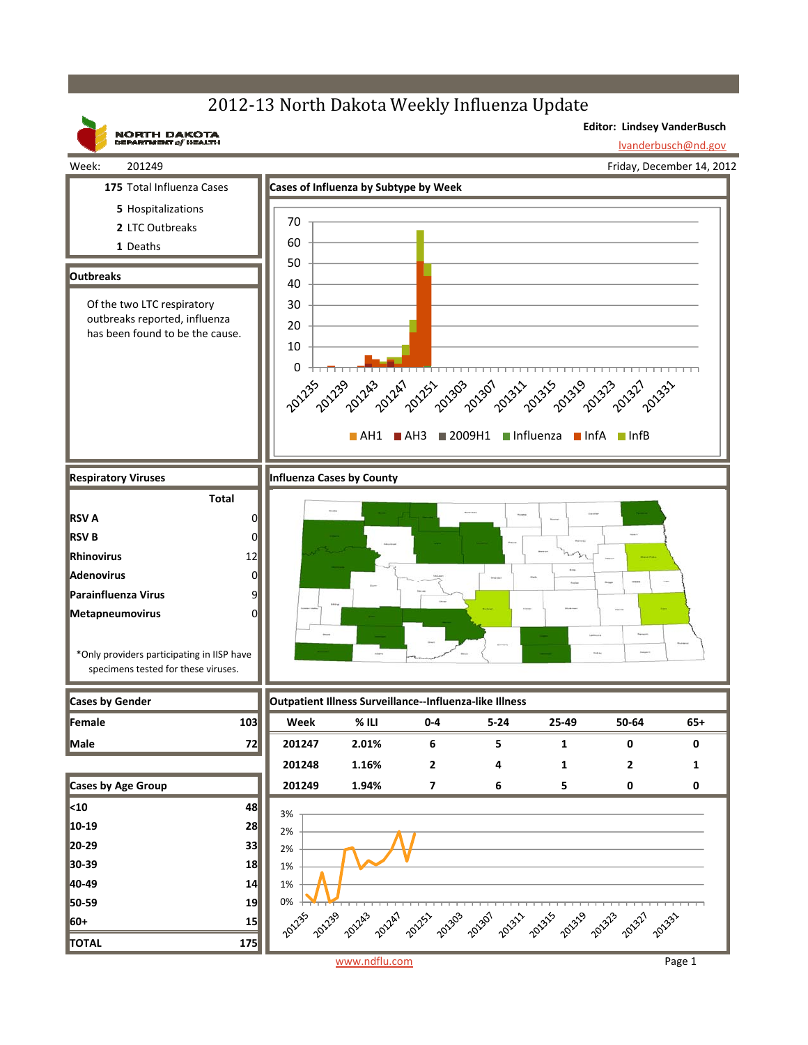